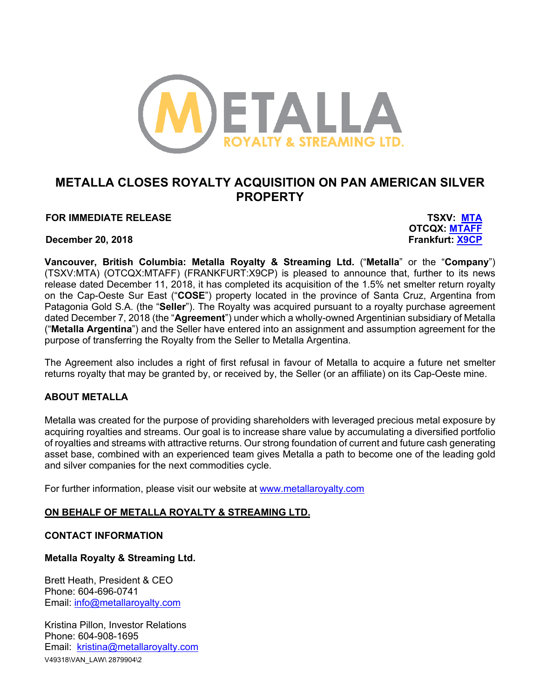

## **METALLA CLOSES ROYALTY ACQUISITION ON PAN AMERICAN SILVER PROPERTY**

**FOR IMMEDIATE RELEASE TSXV: MTA**

**December 20, 2018 Frankfurt: X9CP**

**OTCQX: MTAFF**

**Vancouver, British Columbia: Metalla Royalty & Streaming Ltd.** ("**Metalla**" or the "**Company**") (TSXV:MTA) (OTCQX:MTAFF) (FRANKFURT:X9CP) is pleased to announce that, further to its news release dated December 11, 2018, it has completed its acquisition of the 1.5% net smelter return royalty on the Cap-Oeste Sur East ("**COSE**") property located in the province of Santa Cruz, Argentina from Patagonia Gold S.A. (the "**Seller**"). The Royalty was acquired pursuant to a royalty purchase agreement dated December 7, 2018 (the "**Agreement**") under which a wholly-owned Argentinian subsidiary of Metalla ("**Metalla Argentina**") and the Seller have entered into an assignment and assumption agreement for the purpose of transferring the Royalty from the Seller to Metalla Argentina.

The Agreement also includes a right of first refusal in favour of Metalla to acquire a future net smelter returns royalty that may be granted by, or received by, the Seller (or an affiliate) on its Cap-Oeste mine.

## **ABOUT METALLA**

Metalla was created for the purpose of providing shareholders with leveraged precious metal exposure by acquiring royalties and streams. Our goal is to increase share value by accumulating a diversified portfolio of royalties and streams with attractive returns. Our strong foundation of current and future cash generating asset base, combined with an experienced team gives Metalla a path to become one of the leading gold and silver companies for the next commodities cycle.

For further information, please visit our website at www.metallaroyalty.com

## **ON BEHALF OF METALLA ROYALTY & STREAMING LTD.**

## **CONTACT INFORMATION**

**Metalla Royalty & Streaming Ltd.**

Brett Heath, President & CEO Phone: 604-696-0741 Email: info@metallaroyalty.com

V49318\VAN\_LAW\ 2879904\2 Kristina Pillon, Investor Relations Phone: 604-908-1695 Email: kristina@metallaroyalty.com